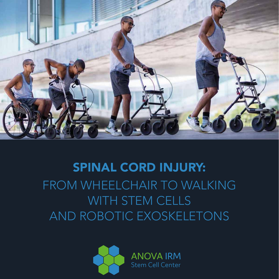

# SPINAL CORD INJURY: FROM WHEELCHAIR TO WALKING WITH STEM CELLS AND ROBOTIC EXOSKELETONS

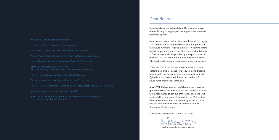### Dear Reader,

Spinal cord injury is a devastating, life changing injury, often afflicting young people. In the past there were few treatment options.

Now there is new hope for patients with spinal cord injury. The combination of stem-cell based neuro-regeneration with neuro-functional robotic exoskeleton training offers realistic hope to get out of the wheelchair and walk again. In Germany we made this possible by a unique collaboration between ANOVA Institute for Regenerative Medicine in Offenbach and Cyberdyne, a Japanese company in Bochum.

Whilst ANOVA is the first institution in Europe to have obtained an official license for producing and treating patients with mesenchymal and bone marrow stem cells, Cyberdyne has developed the HAL exoskeleton for neuro-functional feedback training.

- 
- 
- 
- 
- Neuro-Regeneration with Mesenchymal Stem Cell Secretome .
- REMCell Therapy A Novel Approach to Neuro-Rehabilitation
- Phase 1 Evaluation of Suitability for REMCell Therapy
- 
- Phase 3 Neuro-Functional Training and Neuro-Regenerative Stem Cell Treatment .
- 
- How Can You Profit from ANOVA's Combined Neuro-Regenerative and

At ANOVA IRM we have successfully combined these two ground-breaking treatments to provide paralysed patients with a real chance to get out of the wheelchair and walk again – taking neuro-rehabilitation into the 21st century. If you are suffering from spinal cord injury, talk to us to find out about the first officially approved stem cell therapy for SCI in Europe.

We hope to welcome you soon in our clinic.

nult. Michael K. Stehling

ANOVA Institute for Regenerative Medicine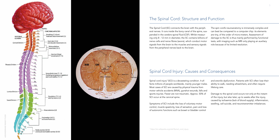



### The Spinal Cord: Structure and Function

The spin cord's neuroanatomy is immensely complex and can best be compared to a computer chip: its elements are tiny, of the order of micro-meters. Assessment of damage to the SC is thus mainly performed by functional tests, with imaging such as MRI only playing an auxiliary role because of its limited resolution. The Spinal Cord (SC) connects the brain with the peripheral nerves. It runs inside the bony canal of the spine, suspended in the cerebro-spinal fluid (CSF). Whilst measuring only 8 - 12 mm in diameter, the SC contains billions of nerve cells and nerve fibres (axons), which conduct motor signals from the brain to the muscles and sensory signals from the peripheral nerves back to the brain.

> and erectile dysfunction. Patients with SCI often lose their ability to walk, needing wheelchairs, and often require lifelong care.

> Damage to the spinal cord occurs not only at the instant of the injury, but also later, up to weeks after the injury, caused by ischaemia (lack of blood supply), inflammation, swelling, cell suicide, and neurotransmitter imbalances.

## Spinal Cord Injury: Causes and Consequences

Spinal cord injury<sup>1</sup> (SCI) is a devastating condition. It affects millions of people worldwide, mainly younger males. Most cases of SCI are caused by physical trauma from motor vehicle accidents (MVA), gunshot wounds, falls and sports injuries. Fewer are non-traumatic. Approx. 50% of SCI occur at the cervical spine.

Symptoms of SCI include the loss of voluntary motor control, muscle spasticity, loss of sensation, pain and loss of autonomic functions such as bowel or bladder control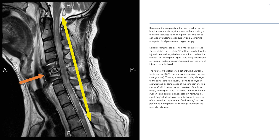7



Because of the complexity of the injury mechanism, early hospital treatment is very important, with the main goal to ensure adequate spinal cord perfusion. This can be achieved by decompression surgery and maintaining adequate blood pressure and oxygen supply.

Spinal cord injuries are classified into "complete" and "incomplete". In complete SCI all functions below the injured area are lost, whether or not the spinal cord is severed. An "incomplete" spinal cord injury involves preservation of motor or sensory function below the level of injury in the spinal cord.

The figure on the left shows a patient with SCI after a fracture at level C5/6. The primary damage is at this level (orange arrow). There is, however, secondary damage to the spinal cord from level C1 down to Th3 (yellow arrow) caused by compression of the cord from swelling (oedema) which in turn caused cessation of the blood supply to the spinal cord. This is due to the fact that the swollen spinal cord could not expand in narrow spinal canal. Surgical widening of the spinal canal by removal of the posterior bony elements (laminectomy) was not performed in this patient early enough to prevent the secondary damage.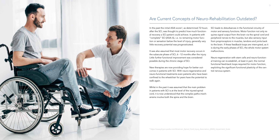SCI leads to disturbances in the functional circuitry of motor and sensory functions. Motor function not only requires signal output from the brain via the spinal cord and peripheral nerves to the muscles, but also sensory input from proprioceptors in muscles, tendons and joints back to the brain. If these feedback-loops are interrupted, as it is during the early phases of SCI, the whole motor system malfunctions.

In the past the initial ASIA score<sup>2</sup>, as determined 72 hours after the SCI, was thought to predict how much functional recovery a SCI patient could achieve. In patients with "complete" SCI (ASIA A), i.e. no remaining motor function or sensation below the level of injury, generally very little recovery potential was prognosticated.

> Neuro-regeneration with stem cells and neuro-functional training can re-establish, at least in part, the normal functional feed-back loops required for motor function, exploiting the significant functional plasticity of the central nervous system.

It was also assumed that most motor recovery occurs in the subacute phase of SCI, 6 - 12 months after the injury. Little further functional improvement was considered possible during the chronic stage of SCI.



### Are Current Concepts of Neuro-Rehabilitation Outdated?

New therapies are now providing hope for better outcomes in patients with SCI. With neuro-regenerative and neuro-functional treatments even patients who have been confined to the wheelchair for years have the potential to walk again.

Whilst in the past it was assumed that the main problem in patients with SCI is at the level of the injured spinal cord, it is now understood that the complex patho-mechanisms involve both the spine and the brain.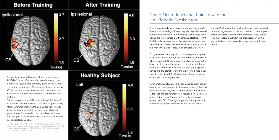During HAL training, the functional activity is re-focussed onto the original area of the motor cortex. It thus appears that the re-establishment of the feed-back loop, particularly the sensory input from the proprioceptors in the leg to the brain, is an essential component of voluntary motion.

### Neuro-Neuro-functional Training with the HAL Robotic Exoskeleton

After a spinal cord injury, nerve signals from the brain to the muscles in the legs (efferent signals) might be to week to make muscles move. But in many patients these nerve signals are still recordable with sensitive electrodes. With the HAL robotic exoskeleton the week nerve signals are amplified and used to activate electrical motors, which in turn move the patient's legs, in an almost natural way.

This generates nerve signals in so-called proprioceptors in the muscles and joints, which are fed back to the brain (afferent signals). These efferent signals originating in the brain, running down the spinal cord and the peripheral nerves and afferent signals from the legs going up the nerves and the spinal cord to the brain form a feed-back loop. In patients with SCI this feedback loop is interrupted and with time degenerates.

Functional brain studies, which can visualize brain activity, have shown that the areas in the motor cortex of the brain (gyrus prae-centralis), which control specific movements of the legs and are normally very focussed on small areas of the motor cortex, "smear out" over larger areas in patients with SCI. This might impede voluntary initiation of motion by deeper functional centres of the brain.

# **Before Training**



Brain activity depicted by near infrared spectroscopy (NIRS) before and after neurofunctional training in the motor cortex (gyrus prae-centralis, green arrow) responsible for limb movements. Also shown is the central sulcus (CS, dotted line and white arrow), which separates the motor cortex from the sensory cortex in the sulcus postcentralis.

Before neurofunctional HAL training (upper left image), no activity in the motor cortex is discenible (green arrow). After neurofunctional HAL training (upper right image), activity in the motor cortex has been re-established (green arrow). Compared to the normal control (lower right image), the activity is not yet as focussed as in healthy subjects (green arrow).

From: Saita K, Morishita T, Arima H, et al. (2018) Biofeedback effect of hybrid assistive limb in stroke rehabilitation: A proof of concept study using functional near infrared spectroscopy. PLoS ONE 2018;13(1): e0191361. https://doi. org/10.1371/ journal.pone.0191361



**Healthy Subject** 

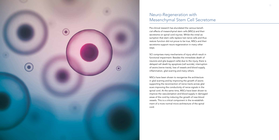

### Neuro-Regeneration with Mesenchymal Stem Cell Secretome

Pre-clinical research has elucidated the various benefi cial effects of mesenchymal stem cells (MSCs) and their secretome on spinal cord injuries. Whilst the initial as sumption that stem cells replace lost nerve cells and thus restore function did not prove to be true, MSCs and their secretome support neuro-regeneration in many other ways.

SCI comprises many mechanisms of injury which result in functional impairment: Besides the immediate death of neurons and glia (support cells) due to the injury, there is delayed cell death by apoptosis (cell suicide), interruption of axons (nerve tracts), loss of vessels and blood supply, inflammation, glial scarring and many others.

MSCs have been shown to reorganise the architecture in glial scarring and by improving the growth of axons supporting the reconnection of nerve tracts across glial scars improving the conductivity of nerve signals in the spinal cord. At the same time, MSCs have been shown to improve the vascularisation and blood supply in damaged areas of the cord by inducing the growth of new blood vessels. This is a critical component in the re-establish ment of a more normal micro-architecture of the spinal cord.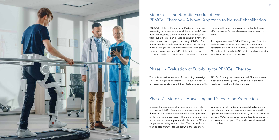

### Stem Cells and Robotic Exoskeletons: REMCell Therapy – A Novel Approach to Neuro-Rehabilitation

constitutes the most promising and probably the most effective way for functional recovery after a spinal cord injury. A complete course of REMCell Therapy takes 3 months and comprises stem cell harvesting, expansion and secretome production in ANOVA's GMP laboratory and 60 sessions of HAL robotic NF training synchronised with intrathecal NR secretome treatment. ANOVA Institute for Regenerative Medicine, Germany's pioneering institution for stem cell therapies, and Cyberdyne, the Japanese pioneer in robotic neuro-functional training, have formed an alliance to establish a novel and effective treatment for spinal cord injury: REMCell, Robotic Exoskeleton and Mesenchymel Stem Cell Therapy. REMCell integrates neuro-regeneration (NR) with stem cells and neuro-functional (NF) training with the HAL robotic exoskeleton. They have established what currently

> REMCell Therapy can be commenced. Phase one takes a day or two for the patient, and about a week for the results to return from the laboratories.

# Phase 1 - Evaluation of Suitability for REMCell Therapy

The patients are first evaluated for remaining nerve signals in their legs and whether they are a suitable donor for mesenchymal stem cells. If these tests are positive, the

### Phase 2 - Stem Cell Harvesting and Secretome Production

When a sufficient number of stem cells has been grown, the cells are put under certain conditions, which will optimise the secretome production by the cells. Ten or 20 doses of MSC secretome can be produced and stored for a maximum of two years. The production takes 4 weeks to complete. Stem cell therapy requires the harvesting of mesenchymal stem cells (MSC) from the subcutaneous fat, which is done in an out-patient procedure with a mini-liposuction, similar to cosmetic liposuction. This is a minimally invasive procedure and takes approximately 1 hour in the OR, and altogether half a day for the patient. The stem cells are then isolated from the fat and grown in the laboratory.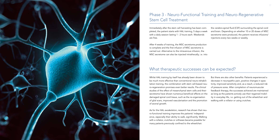the cerebro-spinal fluid (CSF) surrounding the spinal cord and brain. Depending on whether 10 or 20 doses of MSC secretome were produced, the patient receives infusions/ injections every two weeks or weekly. Immediately after the stem cell harvesting has been completed, the patient starts with HAL training, 5 days a week with a daily session lasting 1 - 2 hours each. Weekends are free.



### Phase 3 - Neuro-Functional Training and Neuro-Regenerative Stem Cell Treatment

After 4 weeks of training, the MSC secretome production is complete and the first infusion of MSC secretome is carried out. Alternative to the intravenous infusion, the MSC secretome can also be injected intrathecally, i.e. into

### What therapeutic successes can be expected?

But there are also other benefits: Patients experienced a decrease in neuropathic pain, positive changes in spasticity, improved sensitivity and, as a result, a reduced risk of pressure sores. After completion of neuromuscular feedback therapy, the successes achieved are maintained as long as the patients actively use their regained mobility in everyday life, i.e. getting out of the wheelchair and walking with a rollator or using crutches. Whilst HAL training by itself has already been shown to be much more effective than conventional neuro-rehabilitation training, the combination with stem cell-based neuro-regeneration promises even better results. Pre-clinical studies of the effect of mesenchymal stem cells and their secretome have shown numerous beneficial effects on the damaged spinal cord tissue, such as the re-organisation of glial scars, improved vascularisation and the promotion of axonal growth.

As for the HAL exoskeleton, research has shown that neuro-functional training improves the patients' independence, especially their ability to walk, significantly. Walking with a rollator, crutches or ortheses became possible for many patients previously confined to the wheelchair.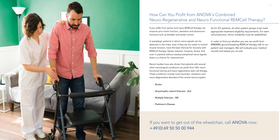As for SCI patients, all other patient groups must meet appropriate treatment eligibility requirements. For stem cell production, donor suitability must be established.



### How Can You Profit from ANOVA's Combined Neuro-Regenerative and Neuro-Functional REMCell Therapy?

If you suffer from spinal cord injury REMCell therapy can improve your motor function, sensation and atutonomic functions such as bladder and bowel control.

In order to find out whether you are can profit from ANOVA's ground-breaking REMCell therapy talk to our patient care managers. We will evaluate your medical records and assess you on-site. In paraplegic patients in whom nerve signals can be detected in the limbs, even if they are too weak to control muscle function, have the best chances for recovery with REMCell therapy. Newer research, however, shows, that even in patients without residual peripheral nerve signals, there is a chance for improvement.

- · Multiple Sclerosis MS
- Parkinson's Disease .

Recent studies have also shown that patients with several other neurological conditions can profit from HAL neurofunctional training and neuro-regenerative stem cell therapy. These conditions include most traumatic, ischaemic and neuro-degenerative disorders of the central nervous system:

Stroke .

Amyotrophic Lateral Sclerosis - ALS .

# If you want to get out of the wheelchair, call ANOVA now: +49(0)69 50 50 00 944